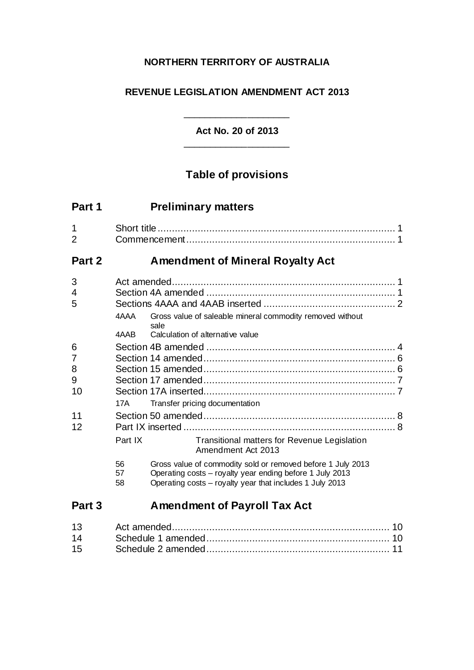# **NORTHERN TERRITORY OF AUSTRALIA**

# **REVENUE LEGISLATION AMENDMENT ACT 2013**

**Act No. 20 of 2013** \_\_\_\_\_\_\_\_\_\_\_\_\_\_\_\_\_\_\_\_

\_\_\_\_\_\_\_\_\_\_\_\_\_\_\_\_\_\_\_\_

# **Table of provisions**

| Part 1                 | <b>Preliminary matters</b>                                                                                                                                                                            |  |
|------------------------|-------------------------------------------------------------------------------------------------------------------------------------------------------------------------------------------------------|--|
| 1<br>$\overline{2}$    |                                                                                                                                                                                                       |  |
| Part 2                 | <b>Amendment of Mineral Royalty Act</b>                                                                                                                                                               |  |
| 3<br>4<br>5            | Gross value of saleable mineral commodity removed without<br>4AAA<br>sale<br>Calculation of alternative value<br>4AAB                                                                                 |  |
| 6<br>7<br>8<br>9<br>10 | Transfer pricing documentation<br>17A                                                                                                                                                                 |  |
| 11<br>12               | Transitional matters for Revenue Legislation<br>Part IX<br>Amendment Act 2013                                                                                                                         |  |
|                        | 56<br>Gross value of commodity sold or removed before 1 July 2013<br>Operating costs - royalty year ending before 1 July 2013<br>57<br>Operating costs - royalty year that includes 1 July 2013<br>58 |  |
| Part 3                 | <b>Amendment of Payroll Tax Act</b>                                                                                                                                                                   |  |
| 13                     |                                                                                                                                                                                                       |  |

14 Schedule 1 amended................................................................ 10 15 Schedule 2 amended................................................................ 11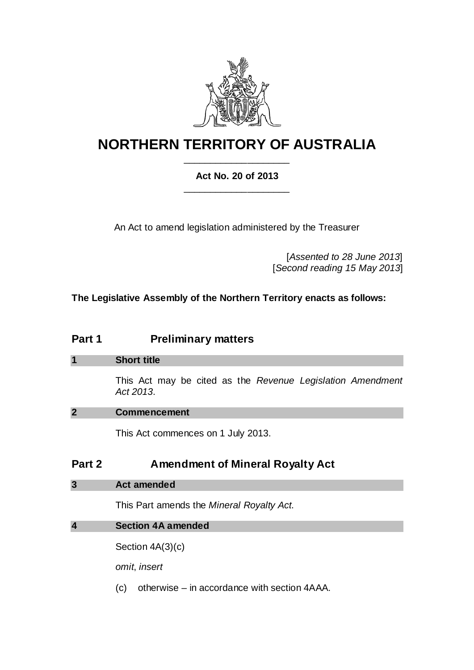

# **NORTHERN TERRITORY OF AUSTRALIA** \_\_\_\_\_\_\_\_\_\_\_\_\_\_\_\_\_\_\_\_

# **Act No. 20 of 2013** \_\_\_\_\_\_\_\_\_\_\_\_\_\_\_\_\_\_\_\_

An Act to amend legislation administered by the Treasurer

[*Assented to 28 June 2013*] [*Second reading 15 May 2013*]

**The Legislative Assembly of the Northern Territory enacts as follows:**

# **Part 1 Preliminary matters**

| <b>Short title</b>                                                      |
|-------------------------------------------------------------------------|
| This Act may be cited as the Revenue Legislation Amendment<br>Act 2013. |

### **2 Commencement**

This Act commences on 1 July 2013.

# **Part 2 Amendment of Mineral Royalty Act**

**3 Act amended**

This Part amends the *Mineral Royalty Act*.

### **4 Section 4A amended**

Section 4A(3)(c)

*omit*, *insert*

(c) otherwise – in accordance with section 4AAA.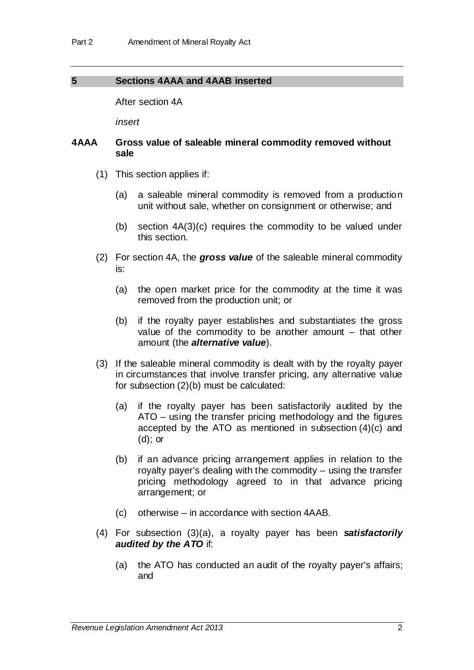### **5 Sections 4AAA and 4AAB inserted**

After section 4A

*insert*

### **4AAA Gross value of saleable mineral commodity removed without sale**

- (1) This section applies if:
	- (a) a saleable mineral commodity is removed from a production unit without sale, whether on consignment or otherwise; and
	- (b) section 4A(3)(c) requires the commodity to be valued under this section.
- (2) For section 4A, the *gross value* of the saleable mineral commodity is:
	- (a) the open market price for the commodity at the time it was removed from the production unit; or
	- (b) if the royalty payer establishes and substantiates the gross value of the commodity to be another amount – that other amount (the *alternative value*).
- (3) If the saleable mineral commodity is dealt with by the royalty payer in circumstances that involve transfer pricing, any alternative value for subsection (2)(b) must be calculated:
	- (a) if the royalty payer has been satisfactorily audited by the ATO – using the transfer pricing methodology and the figures accepted by the ATO as mentioned in subsection (4)(c) and (d); or
	- (b) if an advance pricing arrangement applies in relation to the royalty payer's dealing with the commodity – using the transfer pricing methodology agreed to in that advance pricing arrangement; or
	- (c) otherwise in accordance with section 4AAB.
- (4) For subsection (3)(a), a royalty payer has been *satisfactorily audited by the ATO* if:
	- (a) the ATO has conducted an audit of the royalty payer's affairs; and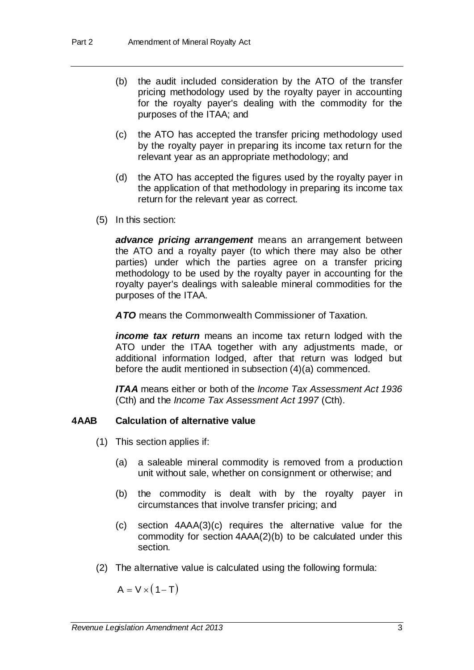- (b) the audit included consideration by the ATO of the transfer pricing methodology used by the royalty payer in accounting for the royalty payer's dealing with the commodity for the purposes of the ITAA; and
- (c) the ATO has accepted the transfer pricing methodology used by the royalty payer in preparing its income tax return for the relevant year as an appropriate methodology; and
- (d) the ATO has accepted the figures used by the royalty payer in the application of that methodology in preparing its income tax return for the relevant year as correct.
- (5) In this section:

*advance pricing arrangement* means an arrangement between the ATO and a royalty payer (to which there may also be other parties) under which the parties agree on a transfer pricing methodology to be used by the royalty payer in accounting for the royalty payer's dealings with saleable mineral commodities for the purposes of the ITAA.

*ATO* means the Commonwealth Commissioner of Taxation.

*income tax return* means an income tax return lodged with the ATO under the ITAA together with any adjustments made, or additional information lodged, after that return was lodged but before the audit mentioned in subsection (4)(a) commenced.

*ITAA* means either or both of the *Income Tax Assessment Act 1936* (Cth) and the *Income Tax Assessment Act 1997* (Cth).

### **4AAB Calculation of alternative value**

- (1) This section applies if:
	- (a) a saleable mineral commodity is removed from a production unit without sale, whether on consignment or otherwise; and
	- (b) the commodity is dealt with by the royalty payer in circumstances that involve transfer pricing; and
	- (c) section 4AAA(3)(c) requires the alternative value for the commodity for section 4AAA(2)(b) to be calculated under this section.
- (2) The alternative value is calculated using the following formula:

 $A = V \times (1-T)$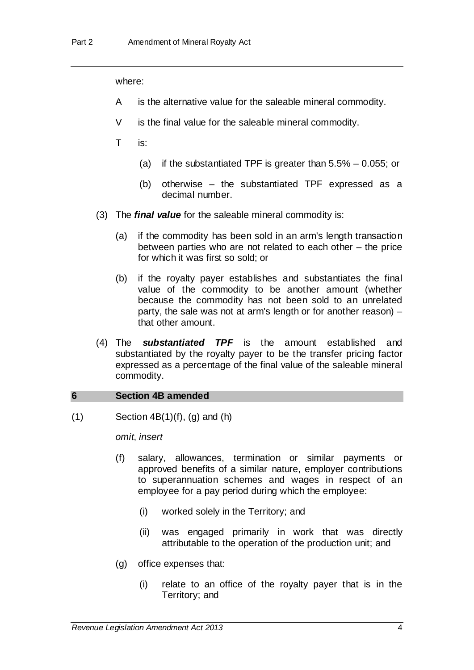#### where:

- A is the alternative value for the saleable mineral commodity.
- V is the final value for the saleable mineral commodity.
- T is:
	- (a) if the substantiated TPF is greater than  $5.5\%$  0.055; or
	- (b) otherwise the substantiated TPF expressed as a decimal number.
- (3) The *final value* for the saleable mineral commodity is:
	- (a) if the commodity has been sold in an arm's length transaction between parties who are not related to each other – the price for which it was first so sold; or
	- (b) if the royalty payer establishes and substantiates the final value of the commodity to be another amount (whether because the commodity has not been sold to an unrelated party, the sale was not at arm's length or for another reason) – that other amount.
- (4) The *substantiated TPF* is the amount established and substantiated by the royalty payer to be the transfer pricing factor expressed as a percentage of the final value of the saleable mineral commodity.

#### **6 Section 4B amended**

 $(1)$  Section  $4B(1)(f)$ ,  $(g)$  and  $(h)$ 

*omit*, *insert*

- (f) salary, allowances, termination or similar payments or approved benefits of a similar nature, employer contributions to superannuation schemes and wages in respect of an employee for a pay period during which the employee:
	- (i) worked solely in the Territory; and
	- (ii) was engaged primarily in work that was directly attributable to the operation of the production unit; and
- (g) office expenses that:
	- (i) relate to an office of the royalty payer that is in the Territory; and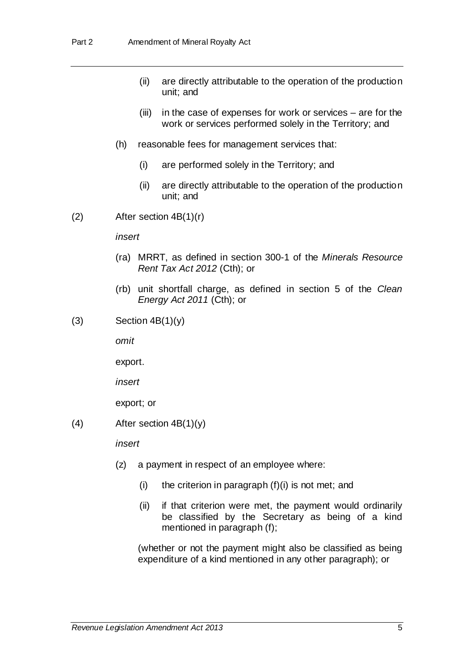- (ii) are directly attributable to the operation of the production unit; and
- (iii) in the case of expenses for work or services are for the work or services performed solely in the Territory; and
- (h) reasonable fees for management services that:
	- (i) are performed solely in the Territory; and
	- (ii) are directly attributable to the operation of the production unit; and
- (2) After section 4B(1)(r)

*insert*

- (ra) MRRT, as defined in section 300-1 of the *Minerals Resource Rent Tax Act 2012* (Cth); or
- (rb) unit shortfall charge, as defined in section 5 of the *Clean Energy Act 2011* (Cth); or
- $(3)$  Section  $4B(1)(y)$

*omit*

export.

*insert*

export; or

(4) After section  $4B(1)(y)$ 

*insert*

- (z) a payment in respect of an employee where:
	- (i) the criterion in paragraph  $(f)(i)$  is not met; and
	- (ii) if that criterion were met, the payment would ordinarily be classified by the Secretary as being of a kind mentioned in paragraph (f);

(whether or not the payment might also be classified as being expenditure of a kind mentioned in any other paragraph); or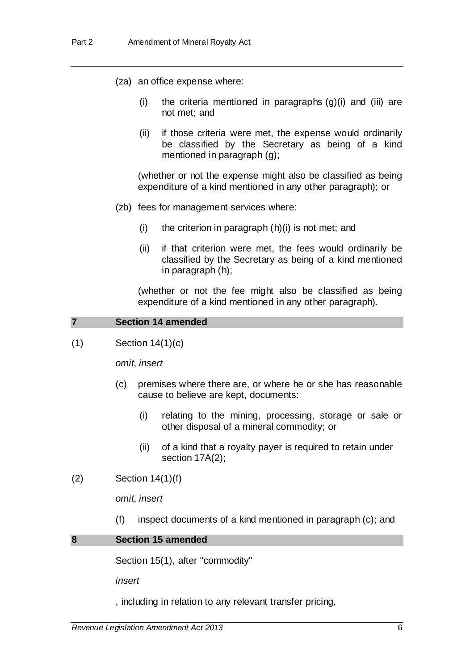- (za) an office expense where:
	- (i) the criteria mentioned in paragraphs  $(q)(i)$  and  $(iii)$  are not met; and
	- (ii) if those criteria were met, the expense would ordinarily be classified by the Secretary as being of a kind mentioned in paragraph (g);

(whether or not the expense might also be classified as being expenditure of a kind mentioned in any other paragraph); or

- (zb) fees for management services where:
	- $(i)$  the criterion in paragraph  $(h)(i)$  is not met; and
	- (ii) if that criterion were met, the fees would ordinarily be classified by the Secretary as being of a kind mentioned in paragraph (h);

(whether or not the fee might also be classified as being expenditure of a kind mentioned in any other paragraph).

### **7 Section 14 amended**

 $(1)$  Section 14 $(1)(c)$ 

*omit*, *insert*

- (c) premises where there are, or where he or she has reasonable cause to believe are kept, documents:
	- (i) relating to the mining, processing, storage or sale or other disposal of a mineral commodity; or
	- (ii) of a kind that a royalty payer is required to retain under section 17A(2);
- (2) Section 14(1)(f)

*omit*, *insert*

(f) inspect documents of a kind mentioned in paragraph (c); and

#### **8 Section 15 amended**

Section 15(1), after "commodity"

*insert*

, including in relation to any relevant transfer pricing,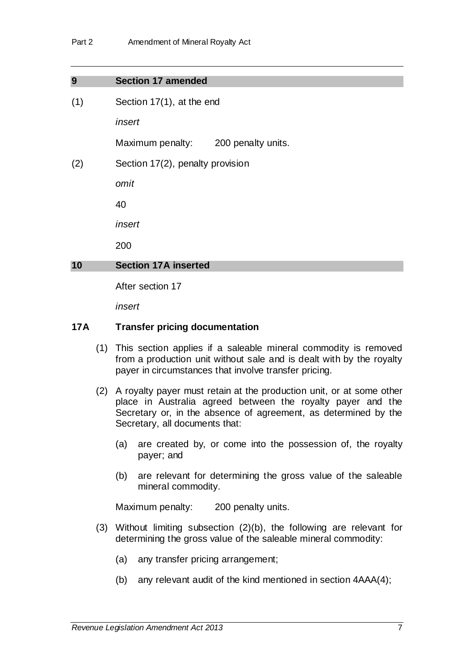| <b>Section 17 amended</b><br>9 |  |
|--------------------------------|--|
|--------------------------------|--|

(1) Section 17(1), at the end

*insert*

Maximum penalty: 200 penalty units.

(2) Section 17(2), penalty provision

*omit*

40

*insert*

200

### **10 Section 17A inserted**

After section 17

*insert*

### **17A Transfer pricing documentation**

- (1) This section applies if a saleable mineral commodity is removed from a production unit without sale and is dealt with by the royalty payer in circumstances that involve transfer pricing.
- (2) A royalty payer must retain at the production unit, or at some other place in Australia agreed between the royalty payer and the Secretary or, in the absence of agreement, as determined by the Secretary, all documents that:
	- (a) are created by, or come into the possession of, the royalty payer; and
	- (b) are relevant for determining the gross value of the saleable mineral commodity.

Maximum penalty: 200 penalty units.

- (3) Without limiting subsection (2)(b), the following are relevant for determining the gross value of the saleable mineral commodity:
	- (a) any transfer pricing arrangement;
	- (b) any relevant audit of the kind mentioned in section 4AAA(4);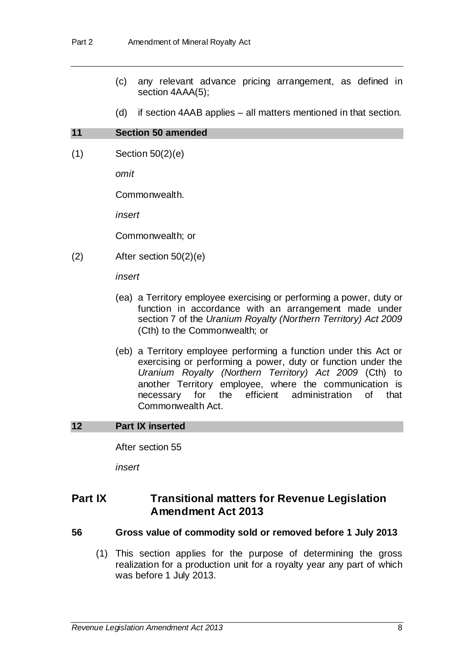- (c) any relevant advance pricing arrangement, as defined in section 4AAA(5);
- (d) if section 4AAB applies all matters mentioned in that section.

#### **11 Section 50 amended**

(1) Section 50(2)(e)

*omit*

Commonwealth.

*insert*

Commonwealth; or

(2) After section 50(2)(e)

*insert*

- (ea) a Territory employee exercising or performing a power, duty or function in accordance with an arrangement made under section 7 of the *Uranium Royalty (Northern Territory) Act 2009* (Cth) to the Commonwealth; or
- (eb) a Territory employee performing a function under this Act or exercising or performing a power, duty or function under the *Uranium Royalty (Northern Territory) Act 2009* (Cth) to another Territory employee, where the communication is necessary for the efficient administration of that Commonwealth Act.

### **12 Part IX inserted**

After section 55

*insert*

# **Part IX Transitional matters for Revenue Legislation Amendment Act 2013**

#### **56 Gross value of commodity sold or removed before 1 July 2013**

(1) This section applies for the purpose of determining the gross realization for a production unit for a royalty year any part of which was before 1 July 2013.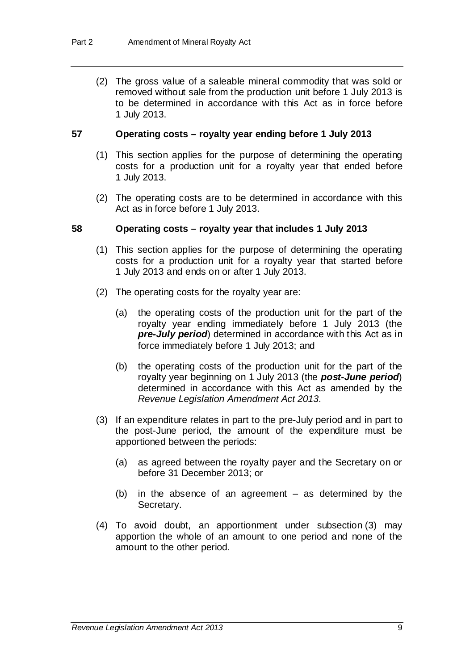(2) The gross value of a saleable mineral commodity that was sold or removed without sale from the production unit before 1 July 2013 is to be determined in accordance with this Act as in force before 1 July 2013.

#### **57 Operating costs – royalty year ending before 1 July 2013**

- (1) This section applies for the purpose of determining the operating costs for a production unit for a royalty year that ended before 1 July 2013.
- (2) The operating costs are to be determined in accordance with this Act as in force before 1 July 2013.

#### **58 Operating costs – royalty year that includes 1 July 2013**

- (1) This section applies for the purpose of determining the operating costs for a production unit for a royalty year that started before 1 July 2013 and ends on or after 1 July 2013.
- (2) The operating costs for the royalty year are:
	- (a) the operating costs of the production unit for the part of the royalty year ending immediately before 1 July 2013 (the *pre-July period*) determined in accordance with this Act as in force immediately before 1 July 2013; and
	- (b) the operating costs of the production unit for the part of the royalty year beginning on 1 July 2013 (the *post-June period*) determined in accordance with this Act as amended by the *Revenue Legislation Amendment Act 2013*.
- (3) If an expenditure relates in part to the pre-July period and in part to the post-June period, the amount of the expenditure must be apportioned between the periods:
	- (a) as agreed between the royalty payer and the Secretary on or before 31 December 2013; or
	- (b) in the absence of an agreement as determined by the Secretary.
- (4) To avoid doubt, an apportionment under subsection (3) may apportion the whole of an amount to one period and none of the amount to the other period.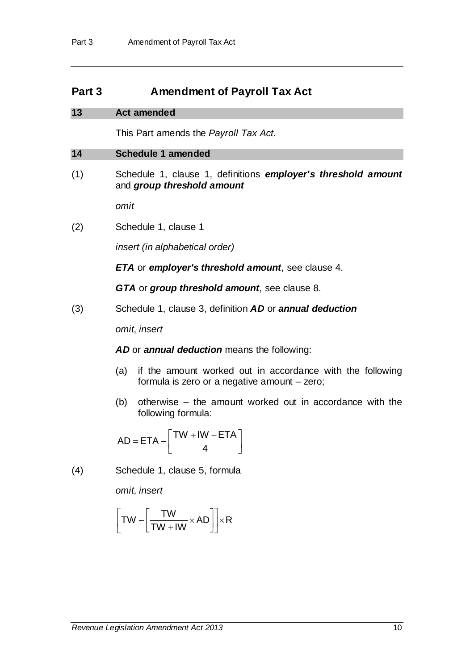# **Part 3 Amendment of Payroll Tax Act**

### **13 Act amended**

This Part amends the *Payroll Tax Act*.

### **14 Schedule 1 amended**

(1) Schedule 1, clause 1, definitions *employer's threshold amount*  and *group threshold amount*

*omit*

(2) Schedule 1, clause 1

*insert (in alphabetical order)*

*ETA* or *employer's threshold amount*, see clause 4.

*GTA* or *group threshold amount*, see clause 8.

(3) Schedule 1, clause 3, definition *AD* or *annual deduction*

*omit*, *insert*

AD or **annual deduction** means the following:

- (a) if the amount worked out in accordance with the following formula is zero or a negative amount – zero;
- (b) otherwise the amount worked out in accordance with the following formula:

$$
AD = ETA - \left[\frac{TW + WW - ETA}{4}\right]
$$

(4) Schedule 1, clause 5, formula

*omit*, *insert*

$$
\left[\text{T}W - \left[\frac{\text{T}W}{\text{T}W + \text{IW}} \times \text{AD}\right]\right] \times \text{R}
$$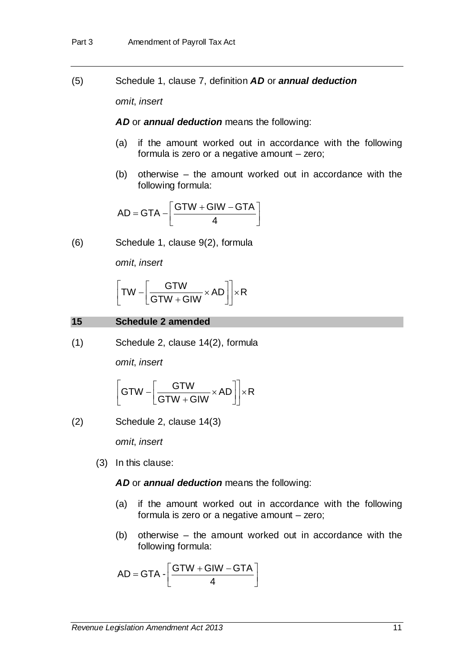(5) Schedule 1, clause 7, definition *AD* or *annual deduction*

*omit*, *insert*

*AD* or *annual deduction* means the following:

- (a) if the amount worked out in accordance with the following formula is zero or a negative amount – zero;
- (b) otherwise the amount worked out in accordance with the following formula:

$$
AD = GTA - \left[\frac{GTW + GIW - GTA}{4}\right]
$$

(6) Schedule 1, clause 9(2), formula

*omit*, *insert*

$$
\left[\text{T}W - \left[\frac{\text{G} \text{T}W}{\text{G} \text{T}W + \text{G}W} \times \text{AD}\right]\right] \times \text{R}
$$

**15 Schedule 2 amended**

(1) Schedule 2, clause 14(2), formula

*omit*, *insert*

$$
\left[ GTW - \left[ \frac{GTW}{GTW + GIW} \times AD \right] \right] \times R
$$

(2) Schedule 2, clause 14(3)

*omit*, *insert*

(3) In this clause:

*AD* or *annual deduction* means the following:

- (a) if the amount worked out in accordance with the following formula is zero or a negative amount – zero;
- (b) otherwise the amount worked out in accordance with the following formula:

$$
AD = GTA - \left[\frac{GTW + GIW - GTA}{4}\right]
$$